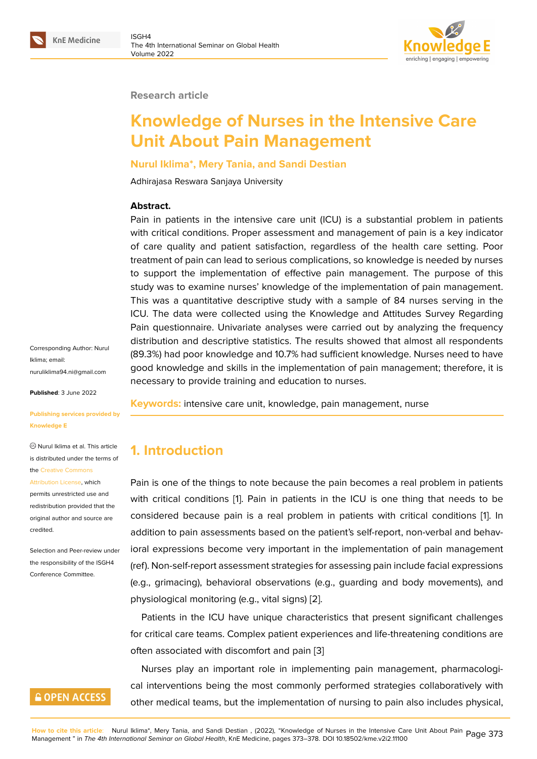#### **Research article**

# **Knowledge of Nurses in the Intensive Care Unit About Pain Management**

#### **Nurul Iklima\*, Mery Tania, and Sandi Destian**

Adhirajasa Reswara Sanjaya University

#### **Abstract.**

Pain in patients in the intensive care unit (ICU) is a substantial problem in patients with critical conditions. Proper assessment and management of pain is a key indicator of care quality and patient satisfaction, regardless of the health care setting. Poor treatment of pain can lead to serious complications, so knowledge is needed by nurses to support the implementation of effective pain management. The purpose of this study was to examine nurses' knowledge of the implementation of pain management. This was a quantitative descriptive study with a sample of 84 nurses serving in the ICU. The data were collected using the Knowledge and Attitudes Survey Regarding Pain questionnaire. Univariate analyses were carried out by analyzing the frequency distribution and descriptive statistics. The results showed that almost all respondents (89.3%) had poor knowledge and 10.7% had sufficient knowledge. Nurses need to have good knowledge and skills in the implementation of pain management; therefore, it is necessary to provide training and education to nurses.

Corresponding Author: Nurul Iklima; email: nuruliklima94.ni@gmail.com

**Published**: 3 June 2022

**[Publishing services provide](mailto:nuruliklima94.ni@gmail.com)d by Knowledge E**

Nurul Iklima et al. This article is distributed under the terms of the Creative Commons

Attribution License, which

permits unrestricted use and redistribution provided that the orig[inal author and sou](https://creativecommons.org/licenses/by/4.0/)rce are [credited.](https://creativecommons.org/licenses/by/4.0/)

Selection and Peer-review under the responsibility of the ISGH4 Conference Committee.

## **GOPEN ACCESS**

**Keywords:** intensive care unit, knowledge, pain management, nurse

## **1. Introduction**

Pain is one of the things to note because the pain becomes a real problem in patients with critical conditions [1]. Pain in patients in the ICU is one thing that needs to be considered because pain is a real problem in patients with critical conditions [1]. In addition to pain assessments based on the patient's self-report, non-verbal and behavioral expressions beco[me](#page-5-0) very important in the implementation of pain management (ref). Non-self-report assessment strategies for assessing pain include facial expres[si](#page-5-0)ons (e.g., grimacing), behavioral observations (e.g., guarding and body movements), and physiological monitoring (e.g., vital signs) [2].

Patients in the ICU have unique characteristics that present significant challenges for critical care teams. Complex patient experiences and life-threatening conditions are often associated with discomfort and pain [\[3](#page-5-1)]

Nurses play an important role in implementing pain management, pharmacological interventions being the most commonly performed strategies collaboratively with other medical teams, but the implementati[on](#page-5-2) of nursing to pain also includes physical,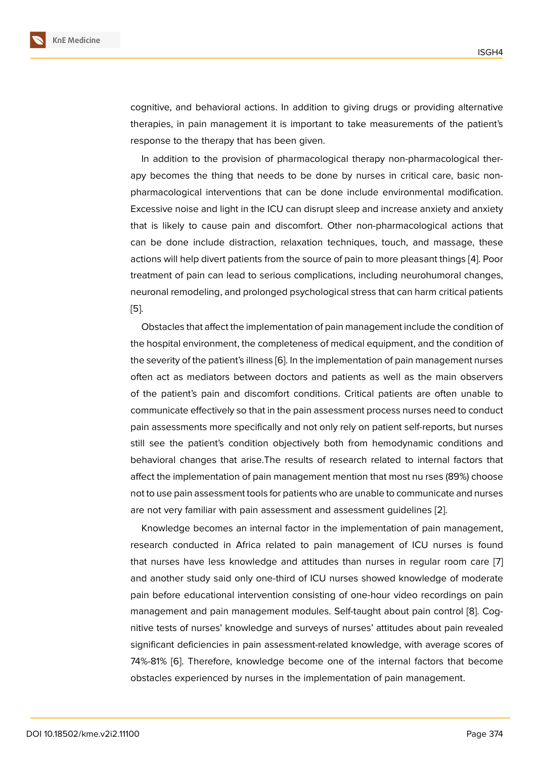cognitive, and behavioral actions. In addition to giving drugs or providing alternative therapies, in pain management it is important to take measurements of the patient's response to the therapy that has been given.

In addition to the provision of pharmacological therapy non-pharmacological therapy becomes the thing that needs to be done by nurses in critical care, basic nonpharmacological interventions that can be done include environmental modification. Excessive noise and light in the ICU can disrupt sleep and increase anxiety and anxiety that is likely to cause pain and discomfort. Other non-pharmacological actions that can be done include distraction, relaxation techniques, touch, and massage, these actions will help divert patients from the source of pain to more pleasant things [4]. Poor treatment of pain can lead to serious complications, including neurohumoral changes, neuronal remodeling, and prolonged psychological stress that can harm critical patients [5].

Obstacles that affect the implementation of pain management include the condition of the hospital environment, the completeness of medical equipment, and the condition of [th](#page-5-3)e severity of the patient's illness [6]. In the implementation of pain management nurses often act as mediators between doctors and patients as well as the main observers of the patient's pain and discomfort conditions. Critical patients are often unable to communicate effectively so that in [th](#page-5-4)e pain assessment process nurses need to conduct pain assessments more specifically and not only rely on patient self-reports, but nurses still see the patient's condition objectively both from hemodynamic conditions and behavioral changes that arise.The results of research related to internal factors that affect the implementation of pain management mention that most nu rses (89%) choose not to use pain assessment tools for patients who are unable to communicate and nurses are not very familiar with pain assessment and assessment guidelines [2].

Knowledge becomes an internal factor in the implementation of pain management, research conducted in Africa related to pain management of ICU nurses is found that nurses have less knowledge and attitudes than nurses in regul[ar](#page-5-1) room care [7] and another study said only one-third of ICU nurses showed knowledge of moderate pain before educational intervention consisting of one-hour video recordings on pain management and pain management modules. Self-taught about pain control [8]. Co[g](#page-5-5)nitive tests of nurses' knowledge and surveys of nurses' attitudes about pain revealed significant deficiencies in pain assessment-related knowledge, with average scores of 74%-81% [6]. Therefore, knowledge become one of the internal factors that [be](#page-5-6)come obstacles experienced by nurses in the implementation of pain management.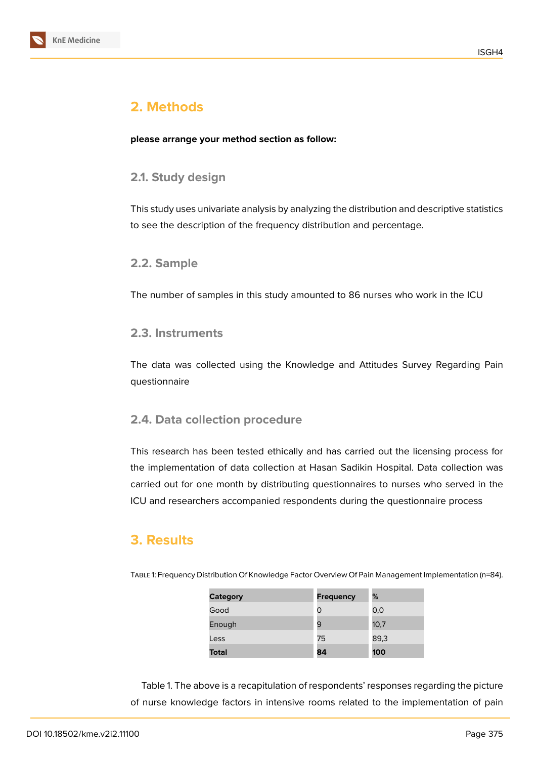

## **2. Methods**

**please arrange your method section as follow:**

#### **2.1. Study design**

This study uses univariate analysis by analyzing the distribution and descriptive statistics to see the description of the frequency distribution and percentage.

#### **2.2. Sample**

The number of samples in this study amounted to 86 nurses who work in the ICU

#### **2.3. Instruments**

The data was collected using the Knowledge and Attitudes Survey Regarding Pain questionnaire

#### **2.4. Data collection procedure**

This research has been tested ethically and has carried out the licensing process for the implementation of data collection at Hasan Sadikin Hospital. Data collection was carried out for one month by distributing questionnaires to nurses who served in the ICU and researchers accompanied respondents during the questionnaire process

## **3. Results**

Table 1: Frequency Distribution Of Knowledge Factor Overview Of Pain Management Implementation (n=84).

| <b>Category</b> | <b>Frequency</b> | %    |
|-----------------|------------------|------|
| Good            | 0                | 0,0  |
| Enough          | 9                | 10,7 |
| Less            | 75               | 89,3 |
| <b>Total</b>    | 84               | 100  |

Table 1. The above is a recapitulation of respondents' responses regarding the picture of nurse knowledge factors in intensive rooms related to the implementation of pain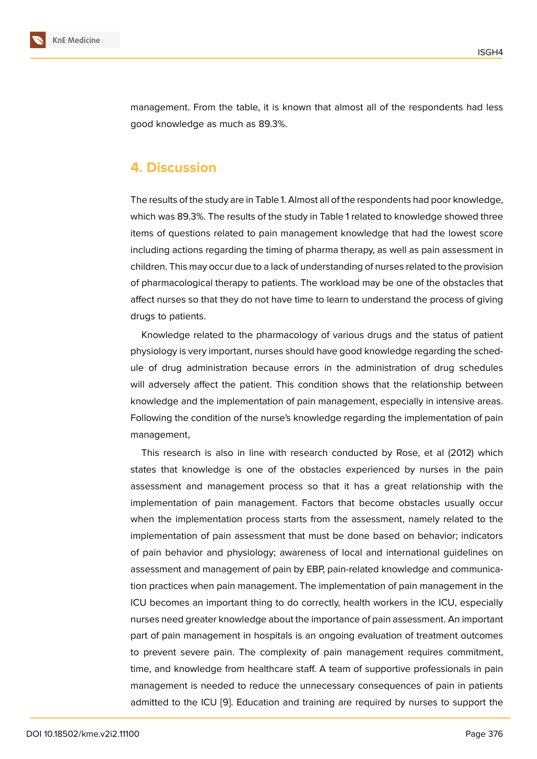management. From the table, it is known that almost all of the respondents had less good knowledge as much as 89.3%.

## **4. Discussion**

The results of the study are in Table 1. Almost all of the respondents had poor knowledge, which was 89.3%. The results of the study in Table 1 related to knowledge showed three items of questions related to pain management knowledge that had the lowest score including actions regarding the timing of pharma therapy, as well as pain assessment in children. This may occur due to a lack of understanding of nurses related to the provision of pharmacological therapy to patients. The workload may be one of the obstacles that affect nurses so that they do not have time to learn to understand the process of giving drugs to patients.

Knowledge related to the pharmacology of various drugs and the status of patient physiology is very important, nurses should have good knowledge regarding the schedule of drug administration because errors in the administration of drug schedules will adversely affect the patient. This condition shows that the relationship between knowledge and the implementation of pain management, especially in intensive areas. Following the condition of the nurse's knowledge regarding the implementation of pain management,

This research is also in line with research conducted by Rose, et al (2012) which states that knowledge is one of the obstacles experienced by nurses in the pain assessment and management process so that it has a great relationship with the implementation of pain management. Factors that become obstacles usually occur when the implementation process starts from the assessment, namely related to the implementation of pain assessment that must be done based on behavior; indicators of pain behavior and physiology; awareness of local and international guidelines on assessment and management of pain by EBP, pain-related knowledge and communication practices when pain management. The implementation of pain management in the ICU becomes an important thing to do correctly, health workers in the ICU, especially nurses need greater knowledge about the importance of pain assessment. An important part of pain management in hospitals is an ongoing evaluation of treatment outcomes to prevent severe pain. The complexity of pain management requires commitment, time, and knowledge from healthcare staff. A team of supportive professionals in pain management is needed to reduce the unnecessary consequences of pain in patients admitted to the ICU [9]. Education and training are required by nurses to support the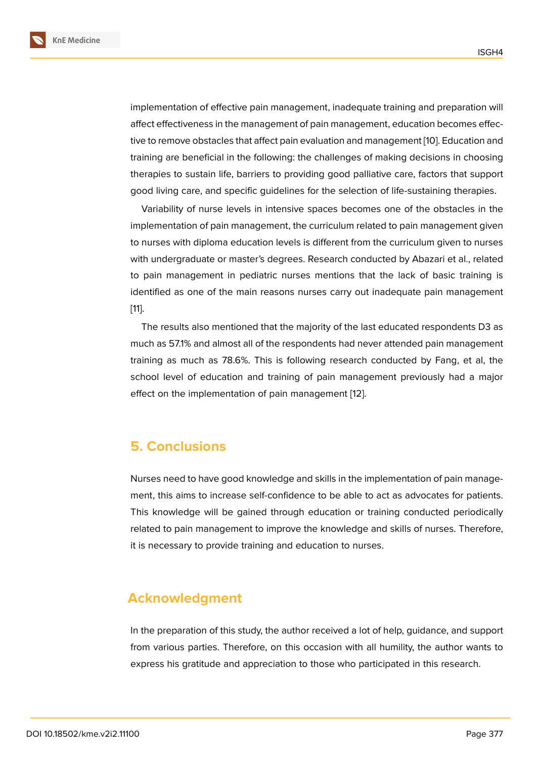implementation of effective pain management, inadequate training and preparation will affect effectiveness in the management of pain management, education becomes effective to remove obstacles that affect pain evaluation and management [10]. Education and training are beneficial in the following: the challenges of making decisions in choosing therapies to sustain life, barriers to providing good palliative care, factors that support good living care, and specific guidelines for the selection of life-sust[ain](#page-5-7)ing therapies.

Variability of nurse levels in intensive spaces becomes one of the obstacles in the implementation of pain management, the curriculum related to pain management given to nurses with diploma education levels is different from the curriculum given to nurses with undergraduate or master's degrees. Research conducted by Abazari et al., related to pain management in pediatric nurses mentions that the lack of basic training is identified as one of the main reasons nurses carry out inadequate pain management [11].

The results also mentioned that the majority of the last educated respondents D3 as much as 57.1% and almost all of the respondents had never attended pain management [tra](#page-5-8)ining as much as 78.6%. This is following research conducted by Fang, et al, the school level of education and training of pain management previously had a major effect on the implementation of pain management [12].

## **5. Conclusions**

Nurses need to have good knowledge and skills in the implementation of pain management, this aims to increase self-confidence to be able to act as advocates for patients. This knowledge will be gained through education or training conducted periodically related to pain management to improve the knowledge and skills of nurses. Therefore, it is necessary to provide training and education to nurses.

## **Acknowledgment**

In the preparation of this study, the author received a lot of help, guidance, and support from various parties. Therefore, on this occasion with all humility, the author wants to express his gratitude and appreciation to those who participated in this research.